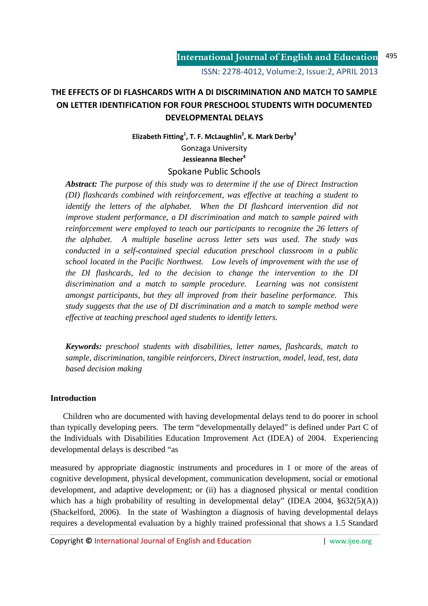# **THE EFFECTS OF DI FLASHCARDS WITH A DI DISCRIMINATION AND MATCH TO SAMPLE ON LETTER IDENTIFICATION FOR FOUR PRESCHOOL STUDENTS WITH DOCUMENTED DEVELOPMENTAL DELAYS**

**Elizabeth Fitting<sup>1</sup> , T. F. McLaughlin<sup>2</sup> , K. Mark Derby<sup>3</sup>** Gonzaga University **Jessieanna Blecher<sup>4</sup>** Spokane Public Schools

*Abstract: The purpose of this study was to determine if the use of Direct Instruction (DI) flashcards combined with reinforcement, was effective at teaching a student to identify the letters of the alphabet. When the DI flashcard intervention did not improve student performance, a DI discrimination and match to sample paired with reinforcement were employed to teach our participants to recognize the 26 letters of the alphabet. A multiple baseline across letter sets was used. The study was conducted in a self-contained special education preschool classroom in a public school located in the Pacific Northwest. Low levels of improvement with the use of the DI flashcards, led to the decision to change the intervention to the DI discrimination and a match to sample procedure. Learning was not consistent amongst participants, but they all improved from their baseline performance. This study suggests that the use of DI discrimination and a match to sample method were effective at teaching preschool aged students to identify letters.* 

*Keywords: preschool students with disabilities, letter names, flashcards, match to sample, discrimination, tangible reinforcers, Direct instruction, model, lead, test, data based decision making* 

## **Introduction**

 Children who are documented with having developmental delays tend to do poorer in school than typically developing peers. The term "developmentally delayed" is defined under Part C of the Individuals with Disabilities Education Improvement Act (IDEA) of 2004. Experiencing developmental delays is described "as

measured by appropriate diagnostic instruments and procedures in 1 or more of the areas of cognitive development, physical development, communication development, social or emotional development, and adaptive development; or (ii) has a diagnosed physical or mental condition which has a high probability of resulting in developmental delay" (IDEA 2004,  $\S 632(5)(A)$ ) (Shackelford, 2006). In the state of Washington a diagnosis of having developmental delays requires a developmental evaluation by a highly trained professional that shows a 1.5 Standard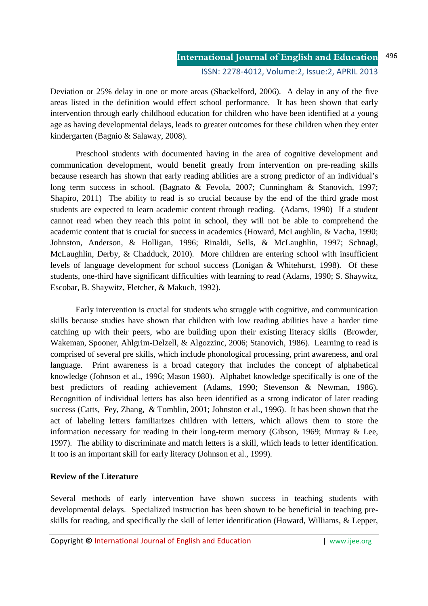#### **International Journal of English and Education** ISSN: 2278-4012, Volume:2, Issue:2, APRIL 2013 496

Deviation or 25% delay in one or more areas (Shackelford, 2006). A delay in any of the five areas listed in the definition would effect school performance. It has been shown that early intervention through early childhood education for children who have been identified at a young age as having developmental delays, leads to greater outcomes for these children when they enter kindergarten (Bagnio & Salaway, 2008).

 Preschool students with documented having in the area of cognitive development and communication development, would benefit greatly from intervention on pre-reading skills because research has shown that early reading abilities are a strong predictor of an individual's long term success in school. (Bagnato & Fevola, 2007; Cunningham & Stanovich, 1997; Shapiro, 2011) The ability to read is so crucial because by the end of the third grade most students are expected to learn academic content through reading. (Adams, 1990) If a student cannot read when they reach this point in school, they will not be able to comprehend the academic content that is crucial for success in academics (Howard, McLaughlin, & Vacha, 1990; Johnston, Anderson, & Holligan, 1996; Rinaldi, Sells, & McLaughlin, 1997; Schnagl, McLaughlin, Derby, & Chadduck, 2010). More children are entering school with insufficient levels of language development for school success (Lonigan & Whitehurst, 1998). Of these students, one-third have significant difficulties with learning to read (Adams, 1990; S. Shaywitz, Escobar, B. Shaywitz, Fletcher, & Makuch, 1992).

Early intervention is crucial for students who struggle with cognitive, and communication skills because studies have shown that children with low reading abilities have a harder time catching up with their peers, who are building upon their existing literacy skills (Browder, Wakeman, Spooner, Ahlgrim-Delzell, & Algozzinc, 2006; Stanovich, 1986). Learning to read is comprised of several pre skills, which include phonological processing, print awareness, and oral language. Print awareness is a broad category that includes the concept of alphabetical knowledge (Johnson et al., 1996; Mason 1980). Alphabet knowledge specifically is one of the best predictors of reading achievement (Adams, 1990; Stevenson & Newman, 1986). Recognition of individual letters has also been identified as a strong indicator of later reading success (Catts, Fey, Zhang, & Tomblin, 2001; Johnston et al., 1996). It has been shown that the act of labeling letters familiarizes children with letters, which allows them to store the information necessary for reading in their long-term memory (Gibson, 1969; Murray & Lee, 1997). The ability to discriminate and match letters is a skill, which leads to letter identification. It too is an important skill for early literacy (Johnson et al., 1999).

## **Review of the Literature**

Several methods of early intervention have shown success in teaching students with developmental delays. Specialized instruction has been shown to be beneficial in teaching preskills for reading, and specifically the skill of letter identification (Howard, Williams, & Lepper,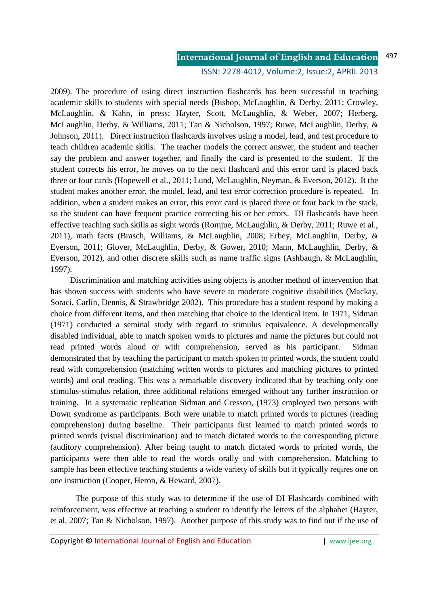ISSN: 2278-4012, Volume:2, Issue:2, APRIL 2013

2009). The procedure of using direct instruction flashcards has been successful in teaching academic skills to students with special needs (Bishop, McLaughlin, & Derby, 2011; Crowley, McLaughlin, & Kahn, in press; Hayter, Scott, McLaughlin, & Weber, 2007; Herberg, McLaughlin, Derby, & Williams, 2011; Tan & Nicholson, 1997; Ruwe, McLaughlin, Derby, & Johnson, 2011). Direct instruction flashcards involves using a model, lead, and test procedure to teach children academic skills. The teacher models the correct answer, the student and teacher say the problem and answer together, and finally the card is presented to the student. If the student corrects his error, he moves on to the next flashcard and this error card is placed back three or four cards (Hopewell et al., 2011; Lund, McLaughlin, Neyman, & Everson, 2012). It the student makes another error, the model, lead, and test error correction procedure is repeated. In addition, when a student makes an error, this error card is placed three or four back in the stack, so the student can have frequent practice correcting his or her errors. DI flashcards have been effective teaching such skills as sight words (Romjue, McLaughlin, & Derby, 2011; Ruwe et al., 2011), math facts (Brasch, Williams, & McLaughlin, 2008; Erbey, McLaughlin, Derby, & Everson, 2011; Glover, McLaughlin, Derby, & Gower, 2010; Mann, McLaughlin, Derby, & Everson, 2012), and other discrete skills such as name traffic signs (Ashbaugh, & McLaughlin, 1997).

 Discrimination and matching activities using objects is another method of intervention that has shown success with students who have severe to moderate cognitive disabilities (Mackay, Soraci, Carlin, Dennis, & Strawbridge 2002). This procedure has a student respond by making a choice from different items, and then matching that choice to the identical item. In 1971, Sidman (1971) conducted a seminal study with regard to stimulus equivalence. A developmentally disabled individual, able to match spoken words to pictures and name the pictures but could not read printed words aloud or with comprehension, served as his participant. Sidman demonstrated that by teaching the participant to match spoken to printed words, the student could read with comprehension (matching written words to pictures and matching pictures to printed words) and oral reading. This was a remarkable discovery indicated that by teaching only one stimulus-stimulus relation, three additional relations emerged without any further instruction or training. In a systematic replication Sidman and Cresson, (1973) employed two persons with Down syndrome as participants. Both were unable to match printed words to pictures (reading comprehension) during baseline. Their participants first learned to match printed words to printed words (visual discrimination) and to match dictated words to the corresponding picture (auditory comprehension). After being taught to match dictated words to printed words, the participants were then able to read the words orally and with comprehension. Matching to sample has been effective teaching students a wide variety of skills but it typically reqires one on one instruction (Cooper, Heron, & Heward, 2007).

 The purpose of this study was to determine if the use of DI Flashcards combined with reinforcement, was effective at teaching a student to identify the letters of the alphabet (Hayter, et al. 2007; Tan & Nicholson, 1997). Another purpose of this study was to find out if the use of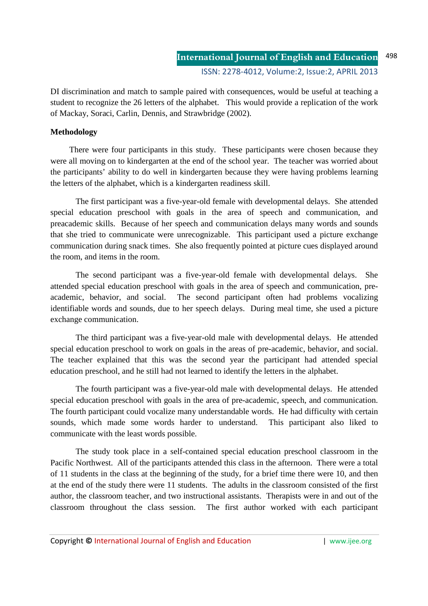DI discrimination and match to sample paired with consequences, would be useful at teaching a student to recognize the 26 letters of the alphabet. This would provide a replication of the work of Mackay, Soraci, Carlin, Dennis, and Strawbridge (2002).

#### **Methodology**

 There were four participants in this study. These participants were chosen because they were all moving on to kindergarten at the end of the school year. The teacher was worried about the participants' ability to do well in kindergarten because they were having problems learning the letters of the alphabet, which is a kindergarten readiness skill.

The first participant was a five-year-old female with developmental delays. She attended special education preschool with goals in the area of speech and communication, and preacademic skills. Because of her speech and communication delays many words and sounds that she tried to communicate were unrecognizable. This participant used a picture exchange communication during snack times. She also frequently pointed at picture cues displayed around the room, and items in the room.

The second participant was a five-year-old female with developmental delays. She attended special education preschool with goals in the area of speech and communication, preacademic, behavior, and social. The second participant often had problems vocalizing identifiable words and sounds, due to her speech delays. During meal time, she used a picture exchange communication.

The third participant was a five-year-old male with developmental delays. He attended special education preschool to work on goals in the areas of pre-academic, behavior, and social. The teacher explained that this was the second year the participant had attended special education preschool, and he still had not learned to identify the letters in the alphabet.

The fourth participant was a five-year-old male with developmental delays. He attended special education preschool with goals in the area of pre-academic, speech, and communication. The fourth participant could vocalize many understandable words. He had difficulty with certain sounds, which made some words harder to understand. This participant also liked to communicate with the least words possible.

 The study took place in a self-contained special education preschool classroom in the Pacific Northwest. All of the participants attended this class in the afternoon. There were a total of 11 students in the class at the beginning of the study, for a brief time there were 10, and then at the end of the study there were 11 students. The adults in the classroom consisted of the first author, the classroom teacher, and two instructional assistants. Therapists were in and out of the classroom throughout the class session. The first author worked with each participant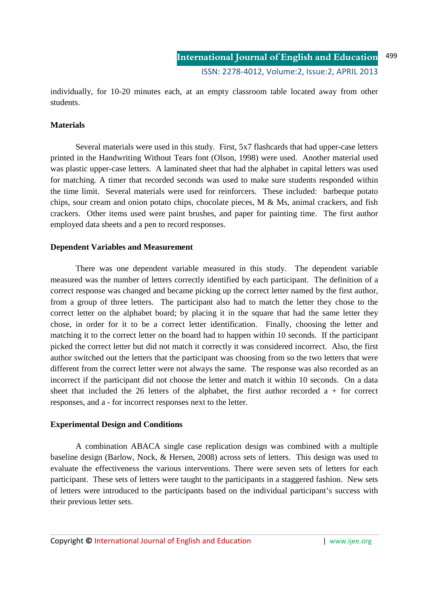individually, for 10-20 minutes each, at an empty classroom table located away from other students.

#### **Materials**

 Several materials were used in this study. First, 5x7 flashcards that had upper-case letters printed in the Handwriting Without Tears font (Olson, 1998) were used. Another material used was plastic upper-case letters. A laminated sheet that had the alphabet in capital letters was used for matching. A timer that recorded seconds was used to make sure students responded within the time limit. Several materials were used for reinforcers. These included: barbeque potato chips, sour cream and onion potato chips, chocolate pieces, M & Ms, animal crackers, and fish crackers. Other items used were paint brushes, and paper for painting time. The first author employed data sheets and a pen to record responses.

#### **Dependent Variables and Measurement**

There was one dependent variable measured in this study. The dependent variable measured was the number of letters correctly identified by each participant. The definition of a correct response was changed and became picking up the correct letter named by the first author, from a group of three letters. The participant also had to match the letter they chose to the correct letter on the alphabet board; by placing it in the square that had the same letter they chose, in order for it to be a correct letter identification. Finally, choosing the letter and matching it to the correct letter on the board had to happen within 10 seconds. If the participant picked the correct letter but did not match it correctly it was considered incorrect. Also, the first author switched out the letters that the participant was choosing from so the two letters that were different from the correct letter were not always the same. The response was also recorded as an incorrect if the participant did not choose the letter and match it within 10 seconds. On a data sheet that included the 26 letters of the alphabet, the first author recorded  $a +$  for correct responses, and a - for incorrect responses next to the letter.

#### **Experimental Design and Conditions**

A combination ABACA single case replication design was combined with a multiple baseline design (Barlow, Nock, & Hersen, 2008) across sets of letters. This design was used to evaluate the effectiveness the various interventions. There were seven sets of letters for each participant. These sets of letters were taught to the participants in a staggered fashion. New sets of letters were introduced to the participants based on the individual participant's success with their previous letter sets.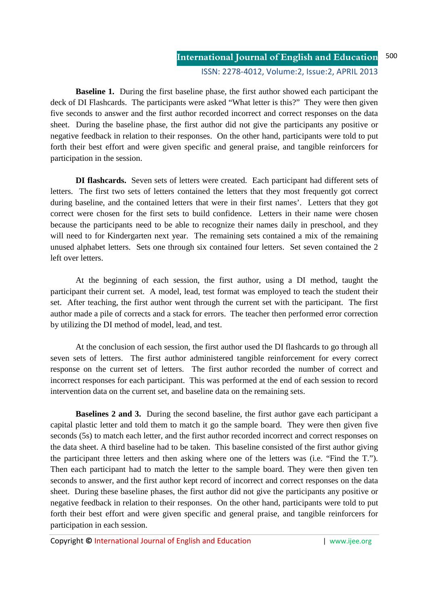**International Journal of English and Education** ISSN: 2278-4012, Volume:2, Issue:2, APRIL 2013 500

**Baseline 1.** During the first baseline phase, the first author showed each participant the deck of DI Flashcards. The participants were asked "What letter is this?" They were then given five seconds to answer and the first author recorded incorrect and correct responses on the data sheet. During the baseline phase, the first author did not give the participants any positive or negative feedback in relation to their responses. On the other hand, participants were told to put forth their best effort and were given specific and general praise, and tangible reinforcers for participation in the session.

 **DI flashcards.** Seven sets of letters were created. Each participant had different sets of letters. The first two sets of letters contained the letters that they most frequently got correct during baseline, and the contained letters that were in their first names'. Letters that they got correct were chosen for the first sets to build confidence. Letters in their name were chosen because the participants need to be able to recognize their names daily in preschool, and they will need to for Kindergarten next year. The remaining sets contained a mix of the remaining unused alphabet letters. Sets one through six contained four letters. Set seven contained the 2 left over letters.

 At the beginning of each session, the first author, using a DI method, taught the participant their current set. A model, lead, test format was employed to teach the student their set. After teaching, the first author went through the current set with the participant. The first author made a pile of corrects and a stack for errors. The teacher then performed error correction by utilizing the DI method of model, lead, and test.

 At the conclusion of each session, the first author used the DI flashcards to go through all seven sets of letters. The first author administered tangible reinforcement for every correct response on the current set of letters. The first author recorded the number of correct and incorrect responses for each participant. This was performed at the end of each session to record intervention data on the current set, and baseline data on the remaining sets.

**Baselines 2 and 3.** During the second baseline, the first author gave each participant a capital plastic letter and told them to match it go the sample board. They were then given five seconds (5s) to match each letter, and the first author recorded incorrect and correct responses on the data sheet. A third baseline had to be taken. This baseline consisted of the first author giving the participant three letters and then asking where one of the letters was (i.e. "Find the T."). Then each participant had to match the letter to the sample board. They were then given ten seconds to answer, and the first author kept record of incorrect and correct responses on the data sheet. During these baseline phases, the first author did not give the participants any positive or negative feedback in relation to their responses. On the other hand, participants were told to put forth their best effort and were given specific and general praise, and tangible reinforcers for participation in each session.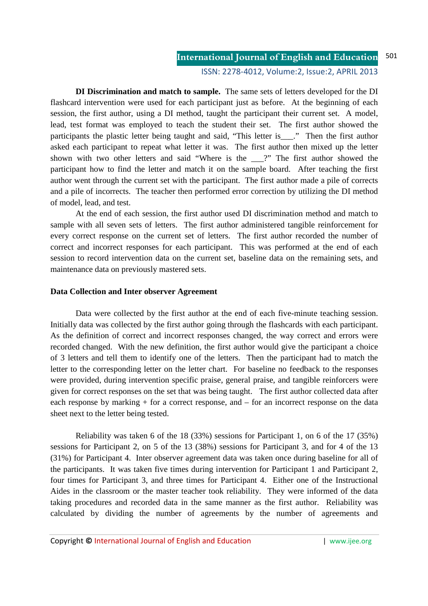ISSN: 2278-4012, Volume:2, Issue:2, APRIL 2013

 **DI Discrimination and match to sample.** The same sets of letters developed for the DI flashcard intervention were used for each participant just as before.At the beginning of each session, the first author, using a DI method, taught the participant their current set. A model, lead, test format was employed to teach the student their set. The first author showed the participants the plastic letter being taught and said, "This letter is\_\_\_." Then the first author asked each participant to repeat what letter it was. The first author then mixed up the letter shown with two other letters and said "Where is the \_\_\_?" The first author showed the participant how to find the letter and match it on the sample board. After teaching the first author went through the current set with the participant. The first author made a pile of corrects and a pile of incorrects. The teacher then performed error correction by utilizing the DI method of model, lead, and test.

At the end of each session, the first author used DI discrimination method and match to sample with all seven sets of letters. The first author administered tangible reinforcement for every correct response on the current set of letters. The first author recorded the number of correct and incorrect responses for each participant. This was performed at the end of each session to record intervention data on the current set, baseline data on the remaining sets, and maintenance data on previously mastered sets.

#### **Data Collection and Inter observer Agreement**

Data were collected by the first author at the end of each five-minute teaching session. Initially data was collected by the first author going through the flashcards with each participant. As the definition of correct and incorrect responses changed, the way correct and errors were recorded changed. With the new definition, the first author would give the participant a choice of 3 letters and tell them to identify one of the letters. Then the participant had to match the letter to the corresponding letter on the letter chart. For baseline no feedback to the responses were provided, during intervention specific praise, general praise, and tangible reinforcers were given for correct responses on the set that was being taught. The first author collected data after each response by marking + for a correct response, and – for an incorrect response on the data sheet next to the letter being tested.

 Reliability was taken 6 of the 18 (33%) sessions for Participant 1, on 6 of the 17 (35%) sessions for Participant 2, on 5 of the 13 (38%) sessions for Participant 3, and for 4 of the 13 (31%) for Participant 4. Inter observer agreement data was taken once during baseline for all of the participants. It was taken five times during intervention for Participant 1 and Participant 2, four times for Participant 3, and three times for Participant 4. Either one of the Instructional Aides in the classroom or the master teacher took reliability. They were informed of the data taking procedures and recorded data in the same manner as the first author. Reliability was calculated by dividing the number of agreements by the number of agreements and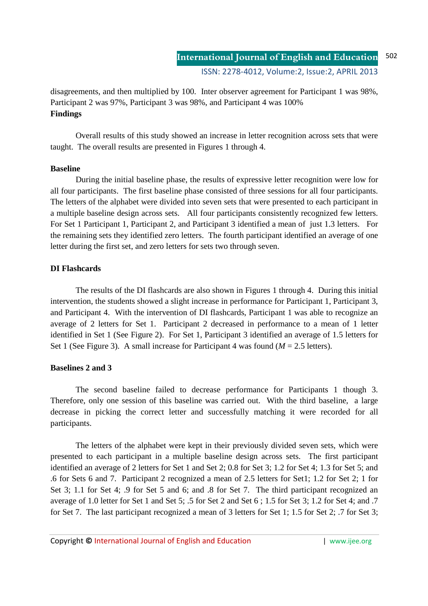disagreements, and then multiplied by 100. Inter observer agreement for Participant 1 was 98%, Participant 2 was 97%, Participant 3 was 98%, and Participant 4 was 100% **Findings** 

Overall results of this study showed an increase in letter recognition across sets that were taught. The overall results are presented in Figures 1 through 4.

#### **Baseline**

 During the initial baseline phase, the results of expressive letter recognition were low for all four participants. The first baseline phase consisted of three sessions for all four participants. The letters of the alphabet were divided into seven sets that were presented to each participant in a multiple baseline design across sets. All four participants consistently recognized few letters. For Set 1 Participant 1, Participant 2, and Participant 3 identified a mean of just 1.3 letters. For the remaining sets they identified zero letters. The fourth participant identified an average of one letter during the first set, and zero letters for sets two through seven.

## **DI Flashcards**

The results of the DI flashcards are also shown in Figures 1 through 4. During this initial intervention, the students showed a slight increase in performance for Participant 1, Participant 3, and Participant 4. With the intervention of DI flashcards, Participant 1 was able to recognize an average of 2 letters for Set 1. Participant 2 decreased in performance to a mean of 1 letter identified in Set 1 (See Figure 2). For Set 1, Participant 3 identified an average of 1.5 letters for Set 1 (See Figure 3). A small increase for Participant 4 was found  $(M = 2.5$  letters).

## **Baselines 2 and 3**

The second baseline failed to decrease performance for Participants 1 though 3. Therefore, only one session of this baseline was carried out. With the third baseline, a large decrease in picking the correct letter and successfully matching it were recorded for all participants.

 The letters of the alphabet were kept in their previously divided seven sets, which were presented to each participant in a multiple baseline design across sets. The first participant identified an average of 2 letters for Set 1 and Set 2; 0.8 for Set 3; 1.2 for Set 4; 1.3 for Set 5; and .6 for Sets 6 and 7. Participant 2 recognized a mean of 2.5 letters for Set1; 1.2 for Set 2; 1 for Set 3; 1.1 for Set 4; .9 for Set 5 and 6; and .8 for Set 7. The third participant recognized an average of 1.0 letter for Set 1 and Set 5; .5 for Set 2 and Set 6 ; 1.5 for Set 3; 1.2 for Set 4; and .7 for Set 7. The last participant recognized a mean of 3 letters for Set 1; 1.5 for Set 2; .7 for Set 3;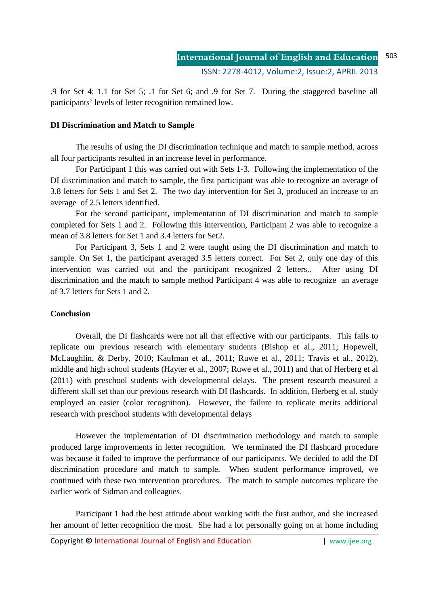.9 for Set 4; 1.1 for Set 5; .1 for Set 6; and .9 for Set 7. During the staggered baseline all participants' levels of letter recognition remained low.

#### **DI Discrimination and Match to Sample**

The results of using the DI discrimination technique and match to sample method, across all four participants resulted in an increase level in performance.

 For Participant 1 this was carried out with Sets 1-3. Following the implementation of the DI discrimination and match to sample, the first participant was able to recognize an average of 3.8 letters for Sets 1 and Set 2. The two day intervention for Set 3, produced an increase to an average of 2.5 letters identified.

 For the second participant, implementation of DI discrimination and match to sample completed for Sets 1 and 2. Following this intervention, Participant 2 was able to recognize a mean of 3.8 letters for Set 1 and 3.4 letters for Set2.

 For Participant 3, Sets 1 and 2 were taught using the DI discrimination and match to sample. On Set 1, the participant averaged 3.5 letters correct. For Set 2, only one day of this intervention was carried out and the participant recognized 2 letters.. After using DI discrimination and the match to sample method Participant 4 was able to recognize an average of 3.7 letters for Sets 1 and 2.

## **Conclusion**

Overall, the DI flashcards were not all that effective with our participants. This fails to replicate our previous research with elementary students (Bishop et al., 2011; Hopewell, McLaughlin, & Derby, 2010; Kaufman et al., 2011; Ruwe et al., 2011; Travis et al., 2012), middle and high school students (Hayter et al., 2007; Ruwe et al., 2011) and that of Herberg et al (2011) with preschool students with developmental delays. The present research measured a different skill set than our previous research with DI flashcards. In addition, Herberg et al. study employed an easier (color recognition). However, the failure to replicate merits additional research with preschool students with developmental delays

However the implementation of DI discrimination methodology and match to sample produced large improvements in letter recognition. We terminated the DI flashcard procedure was because it failed to improve the performance of our participants. We decided to add the DI discrimination procedure and match to sample. When student performance improved, we continued with these two intervention procedures. The match to sample outcomes replicate the earlier work of Sidman and colleagues.

 Participant 1 had the best attitude about working with the first author, and she increased her amount of letter recognition the most. She had a lot personally going on at home including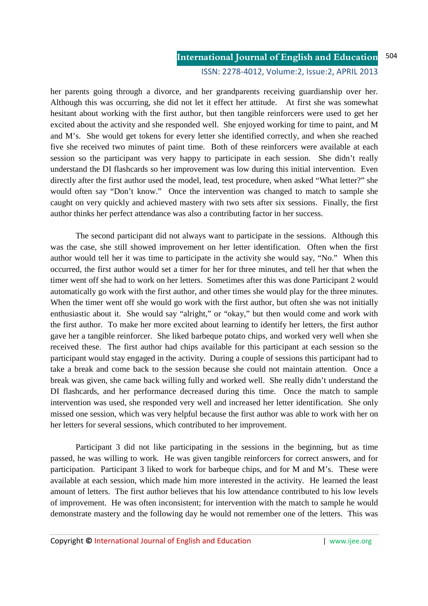#### ISSN: 2278-4012, Volume:2, Issue:2, APRIL 2013

her parents going through a divorce, and her grandparents receiving guardianship over her. Although this was occurring, she did not let it effect her attitude. At first she was somewhat hesitant about working with the first author, but then tangible reinforcers were used to get her excited about the activity and she responded well. She enjoyed working for time to paint, and M and M's. She would get tokens for every letter she identified correctly, and when she reached five she received two minutes of paint time. Both of these reinforcers were available at each session so the participant was very happy to participate in each session. She didn't really understand the DI flashcards so her improvement was low during this initial intervention. Even directly after the first author used the model, lead, test procedure, when asked "What letter?" she would often say "Don't know." Once the intervention was changed to match to sample she caught on very quickly and achieved mastery with two sets after six sessions. Finally, the first author thinks her perfect attendance was also a contributing factor in her success.

 The second participant did not always want to participate in the sessions. Although this was the case, she still showed improvement on her letter identification. Often when the first author would tell her it was time to participate in the activity she would say, "No." When this occurred, the first author would set a timer for her for three minutes, and tell her that when the timer went off she had to work on her letters. Sometimes after this was done Participant 2 would automatically go work with the first author, and other times she would play for the three minutes. When the timer went off she would go work with the first author, but often she was not initially enthusiastic about it. She would say "alright," or "okay," but then would come and work with the first author. To make her more excited about learning to identify her letters, the first author gave her a tangible reinforcer. She liked barbeque potato chips, and worked very well when she received these. The first author had chips available for this participant at each session so the participant would stay engaged in the activity. During a couple of sessions this participant had to take a break and come back to the session because she could not maintain attention. Once a break was given, she came back willing fully and worked well. She really didn't understand the DI flashcards, and her performance decreased during this time. Once the match to sample intervention was used, she responded very well and increased her letter identification. She only missed one session, which was very helpful because the first author was able to work with her on her letters for several sessions, which contributed to her improvement.

 Participant 3 did not like participating in the sessions in the beginning, but as time passed, he was willing to work. He was given tangible reinforcers for correct answers, and for participation. Participant 3 liked to work for barbeque chips, and for M and M's. These were available at each session, which made him more interested in the activity. He learned the least amount of letters. The first author believes that his low attendance contributed to his low levels of improvement. He was often inconsistent; for intervention with the match to sample he would demonstrate mastery and the following day he would not remember one of the letters. This was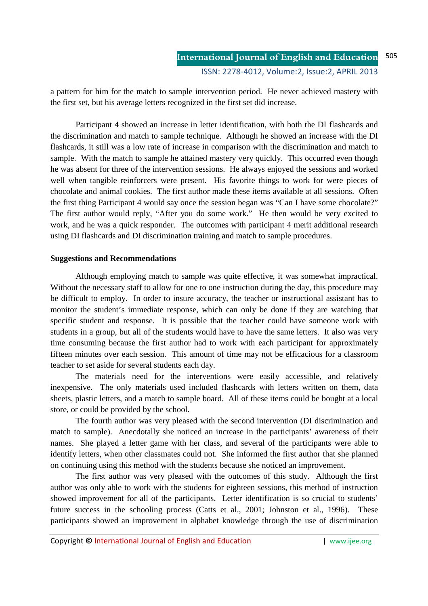a pattern for him for the match to sample intervention period. He never achieved mastery with the first set, but his average letters recognized in the first set did increase.

 Participant 4 showed an increase in letter identification, with both the DI flashcards and the discrimination and match to sample technique. Although he showed an increase with the DI flashcards, it still was a low rate of increase in comparison with the discrimination and match to sample. With the match to sample he attained mastery very quickly. This occurred even though he was absent for three of the intervention sessions. He always enjoyed the sessions and worked well when tangible reinforcers were present. His favorite things to work for were pieces of chocolate and animal cookies. The first author made these items available at all sessions. Often the first thing Participant 4 would say once the session began was "Can I have some chocolate?" The first author would reply, "After you do some work." He then would be very excited to work, and he was a quick responder. The outcomes with participant 4 merit additional research using DI flashcards and DI discrimination training and match to sample procedures.

#### **Suggestions and Recommendations**

 Although employing match to sample was quite effective, it was somewhat impractical. Without the necessary staff to allow for one to one instruction during the day, this procedure may be difficult to employ. In order to insure accuracy, the teacher or instructional assistant has to monitor the student's immediate response, which can only be done if they are watching that specific student and response. It is possible that the teacher could have someone work with students in a group, but all of the students would have to have the same letters. It also was very time consuming because the first author had to work with each participant for approximately fifteen minutes over each session. This amount of time may not be efficacious for a classroom teacher to set aside for several students each day.

 The materials need for the interventions were easily accessible, and relatively inexpensive. The only materials used included flashcards with letters written on them, data sheets, plastic letters, and a match to sample board. All of these items could be bought at a local store, or could be provided by the school.

 The fourth author was very pleased with the second intervention (DI discrimination and match to sample). Anecdotally she noticed an increase in the participants' awareness of their names. She played a letter game with her class, and several of the participants were able to identify letters, when other classmates could not. She informed the first author that she planned on continuing using this method with the students because she noticed an improvement.

 The first author was very pleased with the outcomes of this study. Although the first author was only able to work with the students for eighteen sessions, this method of instruction showed improvement for all of the participants. Letter identification is so crucial to students' future success in the schooling process (Catts et al., 2001; Johnston et al., 1996). These participants showed an improvement in alphabet knowledge through the use of discrimination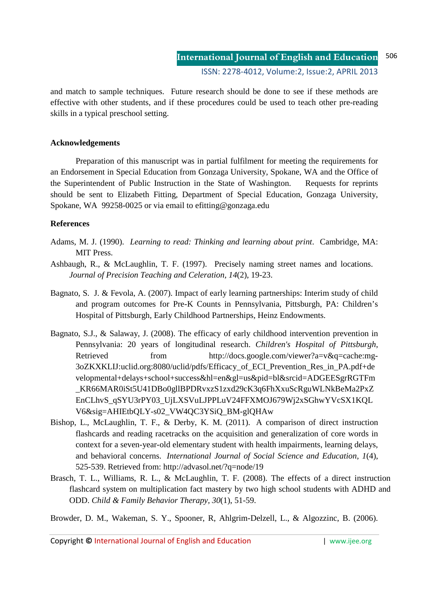and match to sample techniques. Future research should be done to see if these methods are effective with other students, and if these procedures could be used to teach other pre-reading skills in a typical preschool setting.

#### **Acknowledgements**

Preparation of this manuscript was in partial fulfilment for meeting the requirements for an Endorsement in Special Education from Gonzaga University, Spokane, WA and the Office of the Superintendent of Public Instruction in the State of Washington. Requests for reprints should be sent to Elizabeth Fitting, Department of Special Education, Gonzaga University, Spokane, WA 99258-0025 or via email to efitting@gonzaga.edu

## **References**

- Adams, M. J. (1990). *Learning to read: Thinking and learning about print*. Cambridge, MA: MIT Press.
- Ashbaugh, R., & McLaughlin, T. F. (1997). Precisely naming street names and locations. *Journal of Precision Teaching and Celeration, 14*(2), 19-23.
- Bagnato, S. J. & Fevola, A. (2007). Impact of early learning partnerships: Interim study of child and program outcomes for Pre-K Counts in Pennsylvania, Pittsburgh, PA: Children's Hospital of Pittsburgh, Early Childhood Partnerships, Heinz Endowments.
- Bagnato, S.J., & Salaway, J. (2008). The efficacy of early childhood intervention prevention in Pennsylvania: 20 years of longitudinal research. *Children's Hospital of Pittsburgh*, Retrieved from http://docs.google.com/viewer?a=v&q=cache:mg-3oZKXKLIJ:uclid.org:8080/uclid/pdfs/Efficacy\_of\_ECI\_Prevention\_Res\_in\_PA.pdf+de velopmental+delays+school+success&hl=en&gl=us&pid=bl&srcid=ADGEESgrRGTFm \_KR66MAR0iSt5U41DBo0gllBPDRvxzS1zxd29cK3q6FhXxuScRguWLNkBeMa2PxZ EnCLhvS\_qSYU3rPY03\_UjLXSVuLJPPLuV24FFXMOJ679Wj2xSGhwYVcSX1KQL V6&sig=AHIEtbQLY-s02\_VW4QC3YSiQ\_BM-glQHAw
- Bishop, L., McLaughlin, T. F., & Derby, K. M. (2011). A comparison of direct instruction flashcards and reading racetracks on the acquisition and generalization of core words in context for a seven-year-old elementary student with health impairments, learning delays, and behavioral concerns. *International Journal of Social Science and Education, 1*(4), 525-539. Retrieved from: http://advasol.net/?q=node/19
- Brasch, T. L., Williams, R. L., & McLaughlin, T. F. (2008). The effects of a direct instruction flashcard system on multiplication fact mastery by two high school students with ADHD and ODD. *Child & Family Behavior Therapy, 30*(1), 51-59.

Browder, D. M., Wakeman, S. Y., Spooner, R, Ahlgrim-Delzell, L., & Algozzinc, B. (2006).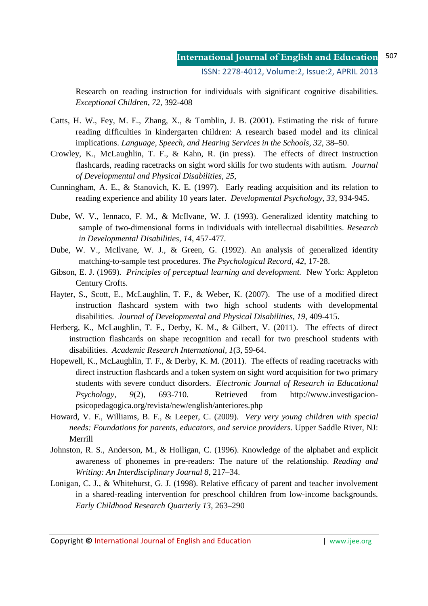Research on reading instruction for individuals with significant cognitive disabilities. *Exceptional Children, 72,* 392-408

- Catts, H. W., Fey, M. E., Zhang, X., & Tomblin, J. B. (2001). Estimating the risk of future reading difficulties in kindergarten children: A research based model and its clinical implications. *Language, Speech, and Hearing Services in the Schools, 32,* 38–50.
- Crowley, K., McLaughlin, T. F., & Kahn, R. (in press). The effects of direct instruction flashcards, reading racetracks on sight word skills for two students with autism. *Journal of Developmental and Physical Disabilities*, *25*,
- Cunningham, A. E., & Stanovich, K. E. (1997). Early reading acquisition and its relation to reading experience and ability 10 years later. *Developmental Psychology, 33*, 934-945.
- Dube, W. V., Iennaco, F. M., & McIlvane, W. J. (1993). Generalized identity matching to sample of two-dimensional forms in individuals with intellectual disabilities. *Research in Developmental Disabilities, 14,* 457-477.
- Dube, W. V., McIlvane, W. J., & Green, G. (1992). An analysis of generalized identity matching-to-sample test procedures. *The Psychological Record, 42*, 17-28.
- Gibson, E. J. (1969). *Principles of perceptual learning and development.* New York: Appleton Century Crofts.
- Hayter, S., Scott, E., McLaughlin, T. F., & Weber, K. (2007). The use of a modified direct instruction flashcard system with two high school students with developmental disabilities. *Journal of Developmental and Physical Disabilities, 19*, 409-415.
- Herberg, K., McLaughlin, T. F., Derby, K. M., & Gilbert, V. (2011). The effects of direct instruction flashcards on shape recognition and recall for two preschool students with disabilities. *Academic Research International, 1*(3, 59-64.
- Hopewell, K., McLaughlin, T. F., & Derby, K. M. (2011). The effects of reading racetracks with direct instruction flashcards and a token system on sight word acquisition for two primary students with severe conduct disorders. *Electronic Journal of Research in Educational Psychology, 9*(2), 693-710. Retrieved from http://www.investigacionpsicopedagogica.org/revista/new/english/anteriores.php
- Howard, V. F., Williams, B. F., & Leeper, C. (2009). *Very very young children with special needs: Foundations for parents, educators, and service providers*. Upper Saddle River, NJ: Merrill
- Johnston, R. S., Anderson, M., & Holligan, C. (1996). Knowledge of the alphabet and explicit awareness of phonemes in pre-readers: The nature of the relationship. *Reading and Writing: An Interdisciplinary Journal 8*, 217–34.
- Lonigan, C. J., & Whitehurst, G. J. (1998). Relative efficacy of parent and teacher involvement in a shared-reading intervention for preschool children from low-income backgrounds. *Early Childhood Research Quarterly 13*, 263–290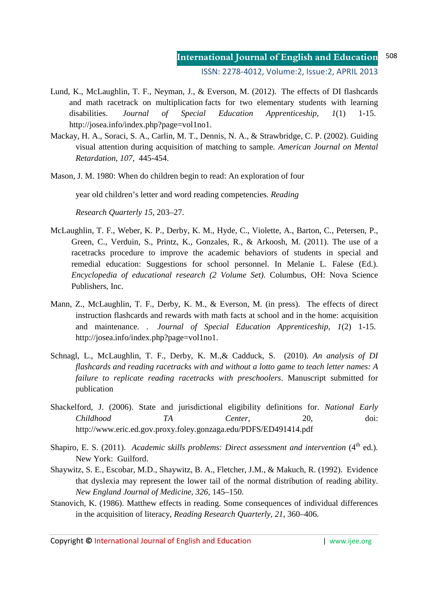ISSN: 2278-4012, Volume:2, Issue:2, APRIL 2013

- Lund, K., McLaughlin, T. F., Neyman, J., & Everson, M. (2012). The effects of DI flashcards and math racetrack on multiplication facts for two elementary students with learning disabilities. *Journal of Special Education Apprenticeship, 1*(1) 1-15. http://josea.info/index.php?page=vol1no1.
- Mackay, H. A., Soraci, S. A., Carlin, M. T., Dennis, N. A., & Strawbridge, C. P. (2002). Guiding visual attention during acquisition of matching to sample. *American Journal on Mental Retardation, 107,* 445-454.
- Mason, J. M. 1980: When do children begin to read: An exploration of four

year old children's letter and word reading competencies. *Reading* 

*Research Quarterly 15*, 203–27.

- McLaughlin, T. F., Weber, K. P., Derby, K. M., Hyde, C., Violette, A., Barton, C., Petersen, P., Green, C., Verduin, S., Printz, K., Gonzales, R., & Arkoosh, M. (2011). The use of a racetracks procedure to improve the academic behaviors of students in special and remedial education: Suggestions for school personnel. In Melanie L. Falese (Ed.). *Encyclopedia of educational research (2 Volume Set)*. Columbus, OH: Nova Science Publishers, Inc.
- Mann, Z., McLaughlin, T. F., Derby, K. M., & Everson, M. (in press). The effects of direct instruction flashcards and rewards with math facts at school and in the home: acquisition and maintenance. . *Journal of Special Education Apprenticeship, 1*(2) 1-15. http://josea.info/index.php?page=vol1no1.
- Schnagl, L., McLaughlin, T. F., Derby, K. M.,& Cadduck, S. (2010). *An analysis of DI flashcards and reading racetracks with and without a lotto game to teach letter names: A failure to replicate reading racetracks with preschoolers*. Manuscript submitted for publication
- Shackelford, J. (2006). State and jurisdictional eligibility definitions for. *National Early Childhood TA Center*, 20, doi: http://www.eric.ed.gov.proxy.foley.gonzaga.edu/PDFS/ED491414.pdf
- Shapiro, E. S. (2011). *Academic skills problems: Direct assessment and intervention* (4<sup>th</sup> ed.). New York: Guilford.
- Shaywitz, S. E., Escobar, M.D., Shaywitz, B. A., Fletcher, J.M., & Makuch, R. (1992). Evidence that dyslexia may represent the lower tail of the normal distribution of reading ability. *New England Journal of Medicine, 326*, 145–150.
- Stanovich, K. (1986). Matthew effects in reading. Some consequences of individual differences in the acquisition of literacy, *Reading Research Quarterly, 21*, 360–406.

Copyright **©** International Journal of English and Education | www.ijee.org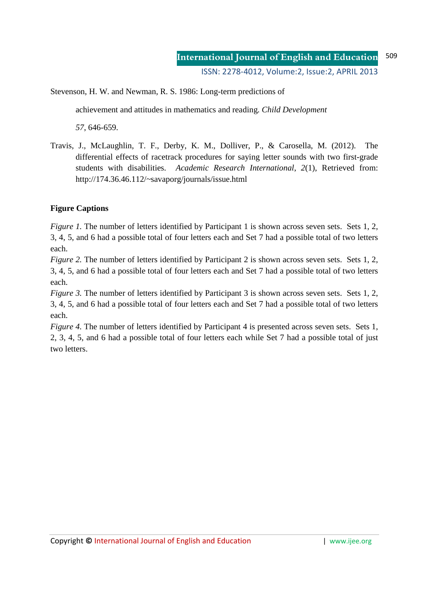Stevenson, H. W. and Newman, R. S. 1986: Long-term predictions of

achievement and attitudes in mathematics and reading. *Child Development* 

*57*, 646-659.

Travis, J., McLaughlin, T. F., Derby, K. M., Dolliver, P., & Carosella, M. (2012). The differential effects of racetrack procedures for saying letter sounds with two first-grade students with disabilities. *Academic Research International*, *2*(1), Retrieved from: http://174.36.46.112/~savaporg/journals/issue.html

## **Figure Captions**

*Figure 1.* The number of letters identified by Participant 1 is shown across seven sets. Sets 1, 2, 3, 4, 5, and 6 had a possible total of four letters each and Set 7 had a possible total of two letters each.

*Figure 2.* The number of letters identified by Participant 2 is shown across seven sets. Sets 1, 2, 3, 4, 5, and 6 had a possible total of four letters each and Set 7 had a possible total of two letters each.

*Figure 3.* The number of letters identified by Participant 3 is shown across seven sets. Sets 1, 2, 3, 4, 5, and 6 had a possible total of four letters each and Set 7 had a possible total of two letters each.

*Figure 4.* The number of letters identified by Participant 4 is presented across seven sets. Sets 1, 2, 3, 4, 5, and 6 had a possible total of four letters each while Set 7 had a possible total of just two letters.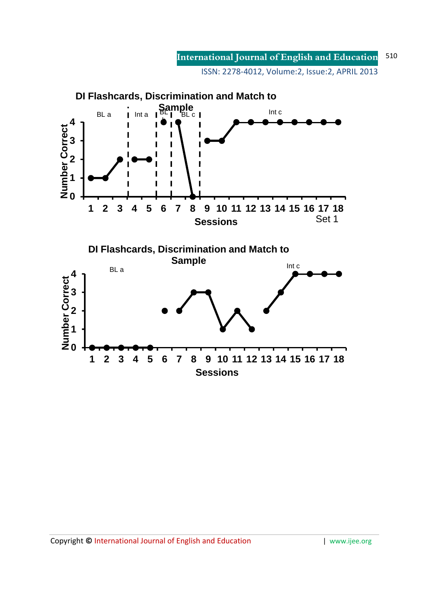**International Journal of English and Education** ISSN: 2278-4012, Volume:2, Issue:2, APRIL 2013 510

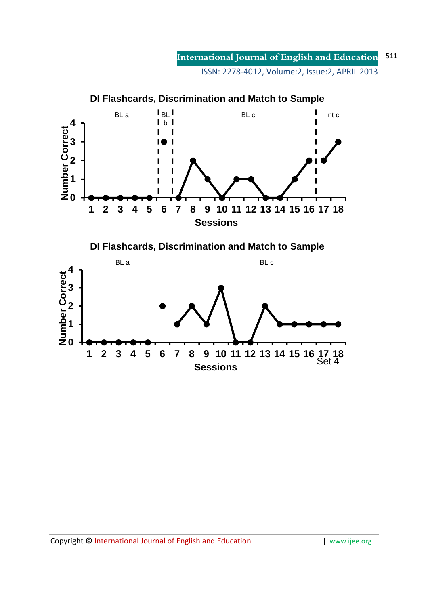**International Journal of English and Education** ISSN: 2278-4012, Volume:2, Issue:2, APRIL 2013 511

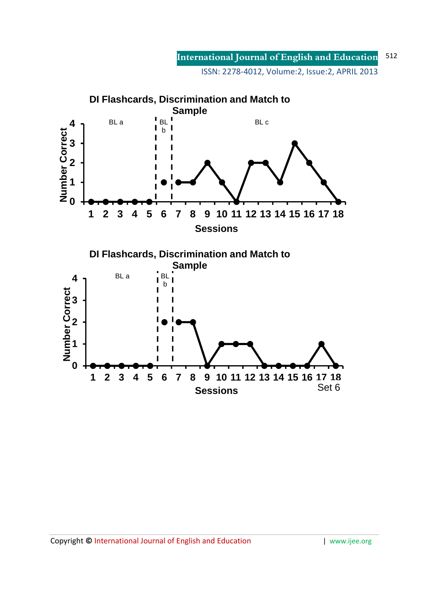**International Journal of English and Education** ISSN: 2278-4012, Volume:2, Issue:2, APRIL 2013 512

**DI Flashcards, Discrimination and Match to Sample** BL a  $\begin{bmatrix} B & B \\ B & B \end{bmatrix}$ BL c **4** b **Number Correct** Ī **3 2 1 0 1 2 3 4 5 6 7 8 9 10 11 12 13 14 15 16 17 18 Sessions DI Flashcards, Discrimination and Match to Sample** BL a BL **4** b**0 Number Correct 3 2 1 1 2 3 4 5 6 7 8 9 10 11 12 13 14 15 16 17 18** Set 6 **Sessions**

Copyright © International Journal of English and Education | www.ijee.org